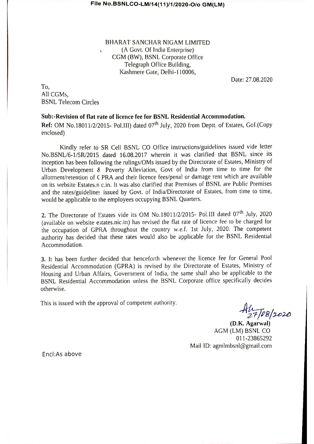BHARAT SANCHAR NIGAM LIMITED (A Govt. Of India Enterprise) CGM (BW), BSNL Corporate Office Telegraph Office Building, Kashmere Gate, Delhi-110006,

Date: 27.08.2020

To. All CGMs. **BSNL Telecom Circles** 

# Sub:-Revision of flat rate of licence fee for BSNL Residential Accommodation.

Ref: OM No.18011/2/2015- Pol.III) dated 07<sup>th</sup> July, 2020 from Deptt. of Estates, GoI.(Copy enclosed)

Kindly refer to SR Cell BSNL CO Office instructions/guidelines issued vide letter No.BSNL/6-1/5R/2015 dated 16.08.2017 wherein it was clarified that BSNL since its inception has been following the rulings/OMs issued by the Directorate of Estates, Ministry of Urban Development 8 Poverty Alleviation, Govt of India from time to time for the allotment/retention of C PRA and their licence fees/penal or damage rent which are available on its website Estates.n c.in. It was also clarified that Premises of BSNL are Public Premises and the rates/guidelines issued by Govt. of India/Directorate of Estates, from time to time, would be applicable to the employees occupying BSNL Quarters.

2. The Directorate of Estates vide its OM No.18011/2/2015- Pol.III dated 07<sup>th</sup> July, 2020 (available on website estates.nic.in) has revised the flat rate of licence fee to be charged for the occupation of GPRA throughout the country w.e.f. 1st July, 2020. The competent authority has decided that these rates would also be applicable for the BSNL Residential Accommodation.

3. It has been further decided that henceforth whenever the licence fee for General Pool Residential Accommodation (GPRA) is revised by the Directorate of Estates, Ministry of Housing and Urban Affairs, Government of India, the same shall also be applicable to the BSNL Residential Accommodation unless the BSNL Corporate office specifically decides otherwise.

This is issued with the approval of competent authority.

 $H_{27/18/2020}^{11}$ <br>(D.K. Agarwal)

AGM (LM) BSNL CO 011-23865292 Mail ID: agmlmbsnl@gmail.com

Encl:As above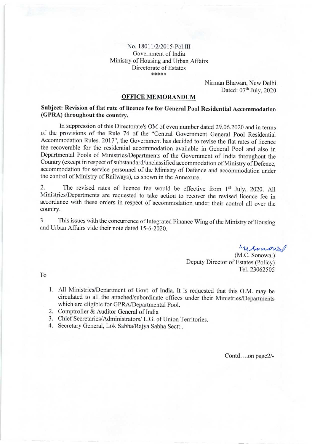#### No. 18011/2/2015-Pol.III Govemment of India Ministry of Housing and Urban Affairs Directorate of Estates \*\*\*\*\*

Nirman Bhawan, New Delhi Dated: 07<sup>th</sup> July, 2020

### OFFICE MEMORANDUM

### Subject: Revision of flat rate of licence fee for General Pool Rcsidential Accommodation (GPRA) throughout the country.

ln suppression of this Directorate's OM of even number dated 29.06.2020 and in terms of the provisions of the Rule 74 of the "Central Govemment General Pool Residential Accommodation Rules. 2017", the Government has decided to revise the flat rates of licence fee recoverable for the residential accommodation available in General pool and also in Departmental Pools of Ministries/Departments of the Government of India throughout the Country (except in respect of substandard/unclassified accommodation of Ministry of Defence, accommodation for service personnel of the Ministry of Defence and accommodation under the control of Ministry of Railways), as shown in the Annexure.

2. The revised rates of licence fee would be effective from 1<sup>st</sup> July, 2020. All Ministries/Departments are requested to take action to recover the revised licence fee in accordance with these orders in respect of accommodation under their control all over the country.

3. This issues with the concurence of Integrated Finance Wing of the Ministry of Housing and Urban Affairs vide their note dated 15-6-2020.

Menowal

(M.C. Sonowal) Deputy Director of Estates (Policy) TeL.23062505

To

- 1. All Ministries/Department of Govt. of India. It is requested that this O.M. may be circulated to all the attached/subordinate offices under their Ministries/Departments which are eligible for GPRA/Departmental Pool.
- 2. Comptroller & Auditor General of India
- 3. Chief Secretaries/Administrators/ L.G. of Union Territories.
- 4. Secretary General, Lok Sabha/Rajya Sabha Sectt..

Contd....on page2/-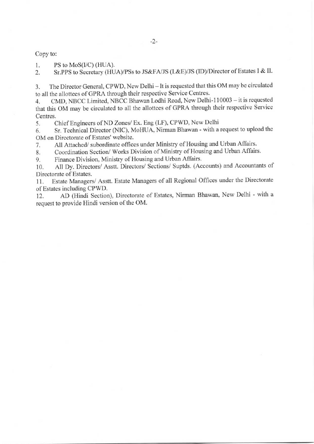Copy to:

1. PS to MoS(I/C) (HUA).<br>2. Sr.PPS to Secretary (HU Sr.PPS to Secretary (HUA)/PSs to JS&FA/JS (L&E)/JS (ID)/Director of Estates I & II.

3. The Director General, CPWD, New Delhi - It is requested that this OM may be circulated to all the allottees of GPRA through their respective Service Centres.

4. CMD, NBCC Limited, NBCC Bhawan Lodhi Road, New Delhi-110003 - it is requested that this OM may be circulated to all the allottees of GPRA through their respective Service Centres.

5. Chief Engineers of ND Zones/ Ex. Eng (LF), CPWD, New Delhi

6. Sr. Technical Director (NIC), MoHUA, Nirman Bhawan - with a request to upload the OM on Directorate of Estates' website.

7. All Attached/ subordinate offices under Ministry of Housing and Urban Affairs.

8. Coordination Section/ Works Division of Ministry of Housing and Urban Affairs.<br>9. Finance Division, Ministry of Housing and Urban Affairs.

Finance Division, Ministry of Housing and Urban Affairs.

10. All Dy. Directors/ Asstt. Directors/ Sections/ Suptds. (Accounts) and Accountants of Directorate of Estates.

<sup>1</sup>1. Estate Managers/ Asstt. Estate Managers of all Regional Offices under the Directorate of Estates including CPWD.

12. AD (Hindi Section), Directorate of Estates, Nirman Bhawan, New Delhi - with <sup>a</sup> request to provide Hindi version of the OM.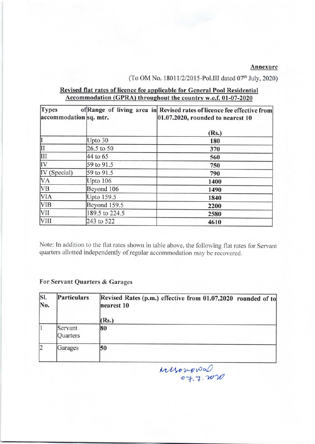### Annexure

# (To OM No. 18011/2/2015-Pol.III dated  $07<sup>th</sup>$  July, 2020)

# Revised flat rates of licence fee applicable for General Pool Residential Accommodation (GPRA) throughout the country w.e.f. 01-07-2020

| <b>Types</b><br>accommodation sq. mtr. |                     | of Range of living area in Revised rates of licence fee effective from<br>$[01.07.2020,$ rounded to nearest 10 |
|----------------------------------------|---------------------|----------------------------------------------------------------------------------------------------------------|
|                                        |                     | (Rs.)                                                                                                          |
|                                        | Upto 30             | 180                                                                                                            |
| Ш                                      | 26.5 to 50          | 370                                                                                                            |
| Ш                                      | 44 to 65            | 560                                                                                                            |
| IV                                     | 59 to 91.5          | 750                                                                                                            |
| IV (Special)                           | 59 to 91.5          | 790                                                                                                            |
| <b>VA</b><br>Upto 106                  |                     | 1400                                                                                                           |
| <b>VB</b><br>Beyond 106                |                     | 1490                                                                                                           |
| <b>VIA</b>                             | Upto 159.5          | 1840                                                                                                           |
| <b>VIB</b>                             | <b>Beyond 159.5</b> | 2200                                                                                                           |
| <b>VII</b>                             | 189.5 to 224.5      | 2580                                                                                                           |
| <b>VIII</b>                            | 243 to 522          | 4610                                                                                                           |

Note: In addition to the flat rates shown in table above, the following flat rates for Servant quarters allotted independently of regular accommodation may be recovered.

# For Servant Quarters & Garages

| SI.<br>No.  | Particulars         | Revised Rates (p.m.) effective from 01.07.2020 rounded of to<br>nearest 10 |  |  |  |
|-------------|---------------------|----------------------------------------------------------------------------|--|--|--|
|             |                     | Rs.                                                                        |  |  |  |
|             | Servant<br>Quarters | 80                                                                         |  |  |  |
| $ 2\rangle$ | Garages             | 50                                                                         |  |  |  |

 $n$ usonowa o t^'t ,'7'U1'o